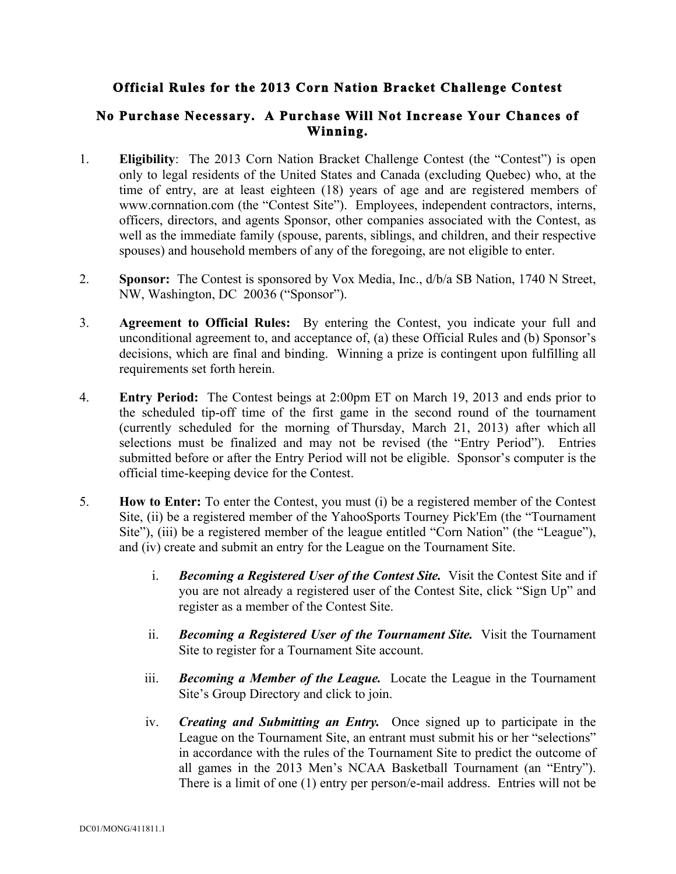## **Official Rules for the 2013 Corn Nation Bracket Challenge Contest**

## **No Purchase Necessary. A Purchase Will Not Increase Your Chances of Winning.**

- 1. **Eligibility**: The 2013 Corn Nation Bracket Challenge Contest (the "Contest") is open only to legal residents of the United States and Canada (excluding Quebec) who, at the time of entry, are at least eighteen (18) years of age and are registered members of www.cornnation.com (the "Contest Site"). Employees, independent contractors, interns, officers, directors, and agents Sponsor, other companies associated with the Contest, as well as the immediate family (spouse, parents, siblings, and children, and their respective spouses) and household members of any of the foregoing, are not eligible to enter.
- 2. **Sponsor:** The Contest is sponsored by Vox Media, Inc., d/b/a SB Nation, 1740 N Street, NW, Washington, DC 20036 ("Sponsor").
- 3. **Agreement to Official Rules:** By entering the Contest, you indicate your full and unconditional agreement to, and acceptance of, (a) these Official Rules and (b) Sponsor's decisions, which are final and binding. Winning a prize is contingent upon fulfilling all requirements set forth herein.
- 4. **Entry Period:** The Contest beings at 2:00pm ET on March 19, 2013 and ends prior to the scheduled tip-off time of the first game in the second round of the tournament (currently scheduled for the morning of Thursday, March 21, 2013) after which all selections must be finalized and may not be revised (the "Entry Period"). Entries submitted before or after the Entry Period will not be eligible. Sponsor's computer is the official time-keeping device for the Contest.
- 5. **How to Enter:** To enter the Contest, you must (i) be a registered member of the Contest Site, (ii) be a registered member of the YahooSports Tourney Pick'Em (the "Tournament Site"), (iii) be a registered member of the league entitled "Corn Nation" (the "League"), and (iv) create and submit an entry for the League on the Tournament Site.
	- i. *Becoming a Registered User of the Contest Site.* Visit the Contest Site and if you are not already a registered user of the Contest Site, click "Sign Up" and register as a member of the Contest Site.
	- ii. *Becoming a Registered User of the Tournament Site.* Visit the Tournament Site to register for a Tournament Site account.
	- iii. *Becoming a Member of the League.* Locate the League in the Tournament Site's Group Directory and click to join.
	- iv. *Creating and Submitting an Entry.* Once signed up to participate in the League on the Tournament Site, an entrant must submit his or her "selections" in accordance with the rules of the Tournament Site to predict the outcome of all games in the 2013 Men's NCAA Basketball Tournament (an "Entry"). There is a limit of one (1) entry per person/e-mail address. Entries will not be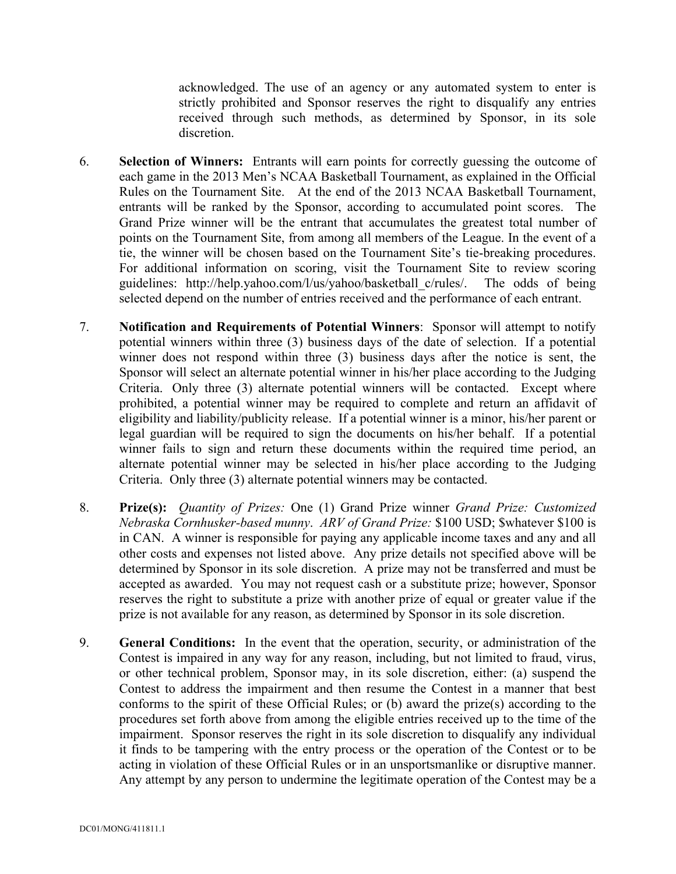acknowledged. The use of an agency or any automated system to enter is strictly prohibited and Sponsor reserves the right to disqualify any entries received through such methods, as determined by Sponsor, in its sole discretion.

- 6. **Selection of Winners:** Entrants will earn points for correctly guessing the outcome of each game in the 2013 Men's NCAA Basketball Tournament, as explained in the Official Rules on the Tournament Site. At the end of the 2013 NCAA Basketball Tournament, entrants will be ranked by the Sponsor, according to accumulated point scores. The Grand Prize winner will be the entrant that accumulates the greatest total number of points on the Tournament Site, from among all members of the League. In the event of a tie, the winner will be chosen based on the Tournament Site's tie-breaking procedures. For additional information on scoring, visit the Tournament Site to review scoring guidelines: http://help.yahoo.com/l/us/yahoo/basketball\_c/rules/. The odds of being selected depend on the number of entries received and the performance of each entrant.
- 7. **Notification and Requirements of Potential Winners**: Sponsor will attempt to notify potential winners within three (3) business days of the date of selection. If a potential winner does not respond within three (3) business days after the notice is sent, the Sponsor will select an alternate potential winner in his/her place according to the Judging Criteria. Only three (3) alternate potential winners will be contacted. Except where prohibited, a potential winner may be required to complete and return an affidavit of eligibility and liability/publicity release. If a potential winner is a minor, his/her parent or legal guardian will be required to sign the documents on his/her behalf. If a potential winner fails to sign and return these documents within the required time period, an alternate potential winner may be selected in his/her place according to the Judging Criteria. Only three (3) alternate potential winners may be contacted.
- 8. **Prize(s):** *Quantity of Prizes:* One (1) Grand Prize winner *Grand Prize: Customized Nebraska Cornhusker-based munny*. *ARV of Grand Prize:* \$100 USD; \$whatever \$100 is in CAN. A winner is responsible for paying any applicable income taxes and any and all other costs and expenses not listed above. Any prize details not specified above will be determined by Sponsor in its sole discretion. A prize may not be transferred and must be accepted as awarded. You may not request cash or a substitute prize; however, Sponsor reserves the right to substitute a prize with another prize of equal or greater value if the prize is not available for any reason, as determined by Sponsor in its sole discretion.
- 9. **General Conditions:** In the event that the operation, security, or administration of the Contest is impaired in any way for any reason, including, but not limited to fraud, virus, or other technical problem, Sponsor may, in its sole discretion, either: (a) suspend the Contest to address the impairment and then resume the Contest in a manner that best conforms to the spirit of these Official Rules; or (b) award the prize(s) according to the procedures set forth above from among the eligible entries received up to the time of the impairment. Sponsor reserves the right in its sole discretion to disqualify any individual it finds to be tampering with the entry process or the operation of the Contest or to be acting in violation of these Official Rules or in an unsportsmanlike or disruptive manner. Any attempt by any person to undermine the legitimate operation of the Contest may be a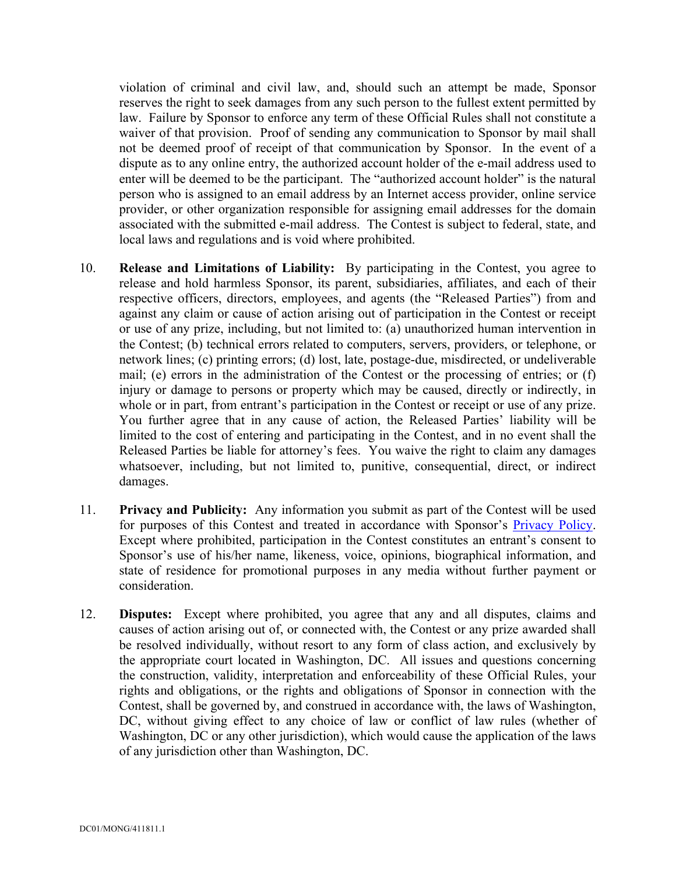violation of criminal and civil law, and, should such an attempt be made, Sponsor reserves the right to seek damages from any such person to the fullest extent permitted by law. Failure by Sponsor to enforce any term of these Official Rules shall not constitute a waiver of that provision. Proof of sending any communication to Sponsor by mail shall not be deemed proof of receipt of that communication by Sponsor. In the event of a dispute as to any online entry, the authorized account holder of the e-mail address used to enter will be deemed to be the participant. The "authorized account holder" is the natural person who is assigned to an email address by an Internet access provider, online service provider, or other organization responsible for assigning email addresses for the domain associated with the submitted e-mail address. The Contest is subject to federal, state, and local laws and regulations and is void where prohibited.

- 10. **Release and Limitations of Liability:** By participating in the Contest, you agree to release and hold harmless Sponsor, its parent, subsidiaries, affiliates, and each of their respective officers, directors, employees, and agents (the "Released Parties") from and against any claim or cause of action arising out of participation in the Contest or receipt or use of any prize, including, but not limited to: (a) unauthorized human intervention in the Contest; (b) technical errors related to computers, servers, providers, or telephone, or network lines; (c) printing errors; (d) lost, late, postage-due, misdirected, or undeliverable mail; (e) errors in the administration of the Contest or the processing of entries; or (f) injury or damage to persons or property which may be caused, directly or indirectly, in whole or in part, from entrant's participation in the Contest or receipt or use of any prize. You further agree that in any cause of action, the Released Parties' liability will be limited to the cost of entering and participating in the Contest, and in no event shall the Released Parties be liable for attorney's fees. You waive the right to claim any damages whatsoever, including, but not limited to, punitive, consequential, direct, or indirect damages.
- 11. **Privacy and Publicity:** Any information you submit as part of the Contest will be used for purposes of this Contest and treated in accordance with Sponsor's Privacy Policy. Except where prohibited, participation in the Contest constitutes an entrant's consent to Sponsor's use of his/her name, likeness, voice, opinions, biographical information, and state of residence for promotional purposes in any media without further payment or consideration.
- 12. **Disputes:** Except where prohibited, you agree that any and all disputes, claims and causes of action arising out of, or connected with, the Contest or any prize awarded shall be resolved individually, without resort to any form of class action, and exclusively by the appropriate court located in Washington, DC. All issues and questions concerning the construction, validity, interpretation and enforceability of these Official Rules, your rights and obligations, or the rights and obligations of Sponsor in connection with the Contest, shall be governed by, and construed in accordance with, the laws of Washington, DC, without giving effect to any choice of law or conflict of law rules (whether of Washington, DC or any other jurisdiction), which would cause the application of the laws of any jurisdiction other than Washington, DC.